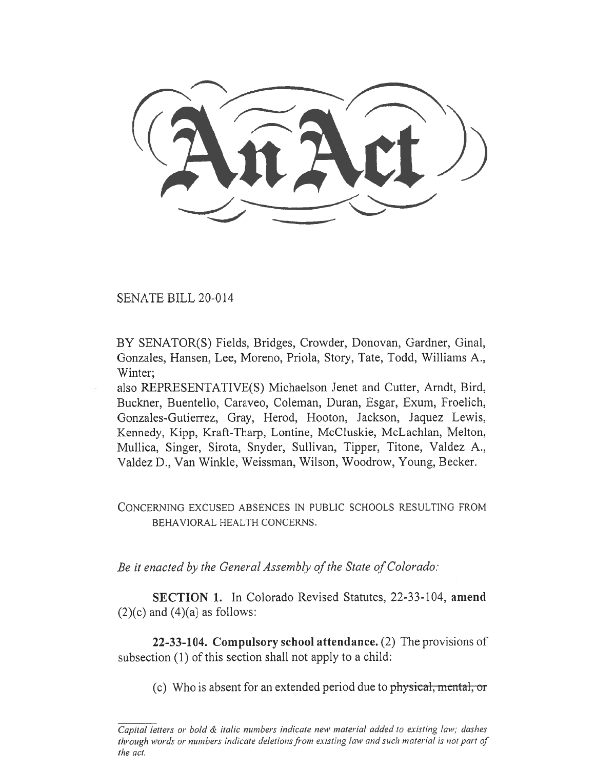SENATE BILL 20-014

BY SENATOR(S) Fields, Bridges, Crowder, Donovan, Gardner, Ginal, Gonzales, Hansen, Lee, Moreno, Priola, Story, Tate, Todd, Williams A., Winter;

also REPRESENTATIVE(S) Michaelson Jenet and Cutter, Arndt, Bird, Buckner, Buentello, Caraveo, Coleman, Duran, Esgar, Exum, Froelich, Gonzales-Gutierrez, Gray, Herod, Hooton, Jackson, Jaquez Lewis, Kennedy, Kipp, Kraft-Tharp, Lontine, McCluskie, McLachlan, Melton, Mullica, Singer, Sirota, Snyder, Sullivan, Tipper, Titone, Valdez A., Valdez D., Van Winkle, Weissman, Wilson, Woodrow, Young, Becker.

CONCERNING EXCUSED ABSENCES IN PUBLIC SCHOOLS RESULTING FROM BEHAVIORAL HEALTH CONCERNS.

*Be it enacted by the General Assembly of the State of Colorado:* 

**SECTION 1.** In Colorado Revised Statutes, 22-33-104, **amend**   $(2)(c)$  and  $(4)(a)$  as follows:

**22-33-104. Compulsory school attendance.** (2) The provisions of subsection (1) of this section shall not apply to a child:

(c) Who is absent for an extended period due to physical, mental, or

*Capital letters or bold & italic numbers indicate new material added to existing law; dashes through words or numbers indicate deletions from existing law and such material is not part of the act.*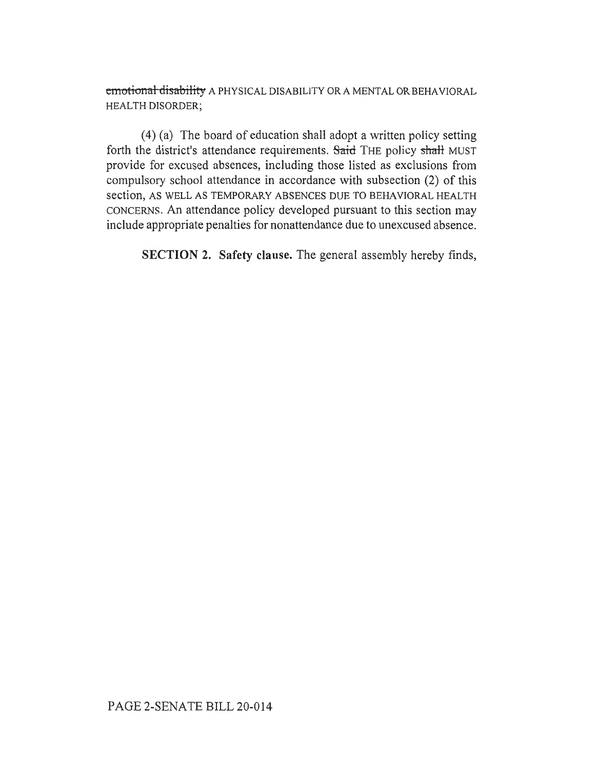cmotional disability A PHYSICAL DISABILITY OR A MENTAL OR BEHAVIORAL HEALTH DISORDER;

(4) (a) The board of education shall adopt a written policy setting forth the district's attendance requirements. Said THE policy shall MUST provide for excused absences, including those listed as exclusions from compulsory school attendance in accordance with subsection (2) of this section, AS WELL AS TEMPORARY ABSENCES DUE TO BEHAVIORAL HEALTH CONCERNS. An attendance policy developed pursuant to this section may include appropriate penalties for nonattendance due to unexcused absence.

SECTION 2. Safety clause. The general assembly hereby finds,